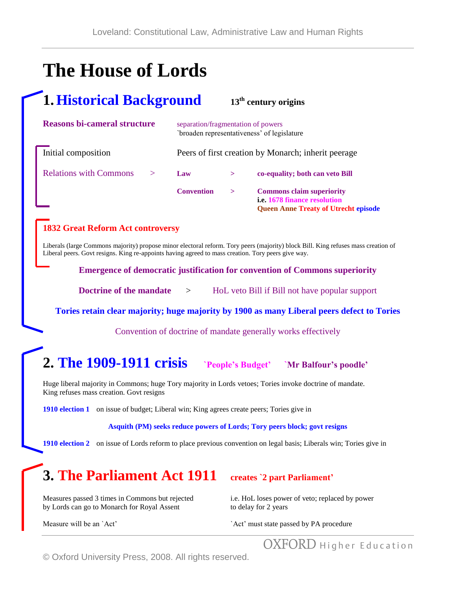# **The House of Lords**

## **1.Historical Background <sup>13</sup>th century origins**

| <b>Reasons bi-cameral structure</b> |                   | separation/fragmentation of powers<br>`broaden representativeness' of legislature |                                                                                                                        |  |
|-------------------------------------|-------------------|-----------------------------------------------------------------------------------|------------------------------------------------------------------------------------------------------------------------|--|
| Initial composition                 |                   | Peers of first creation by Monarch; inherit peerage                               |                                                                                                                        |  |
| <b>Relations with Commons</b>       | Law               | $\geq$                                                                            | co-equality; both can veto Bill                                                                                        |  |
|                                     | <b>Convention</b> | $\geq$                                                                            | <b>Commons claim superiority</b><br><i>i.e.</i> 1678 finance resolution<br><b>Queen Anne Treaty of Utrecht episode</b> |  |

#### **1832 Great Reform Act controversy**

Liberals (large Commons majority) propose minor electoral reform. Tory peers (majority) block Bill. King refuses mass creation of Liberal peers. Govt resigns. King re-appoints having agreed to mass creation. Tory peers give way.

**Emergence of democratic justification for convention of Commons superiority**

**Doctrine of the mandate** > HoL veto Bill if Bill not have popular support

**Tories retain clear majority; huge majority by 1900 as many Liberal peers defect to Tories**

Convention of doctrine of mandate generally works effectively

## **2. The 1909-1911 crisis `People's Budget' `Mr Balfour's poodle'**

Huge liberal majority in Commons; huge Tory majority in Lords vetoes; Tories invoke doctrine of mandate. King refuses mass creation. Govt resigns

**1910 election 1** on issue of budget; Liberal win; King agrees create peers; Tories give in

**Asquith (PM) seeks reduce powers of Lords; Tory peers block; govt resigns**

**1910 election 2** on issue of Lords reform to place previous convention on legal basis; Liberals win; Tories give in

# **3. The Parliament Act 1911 creates `2 part Parliament'**

Measures passed 3 times in Commons but rejected i.e. HoL loses power of veto; replaced by power by Lords can go to Monarch for Royal Assent to delay for 2 years

Measure will be an `Act' must state passed by PA procedure

OXFORD Higher Education

© Oxford University Press, 2008. All rights reserved.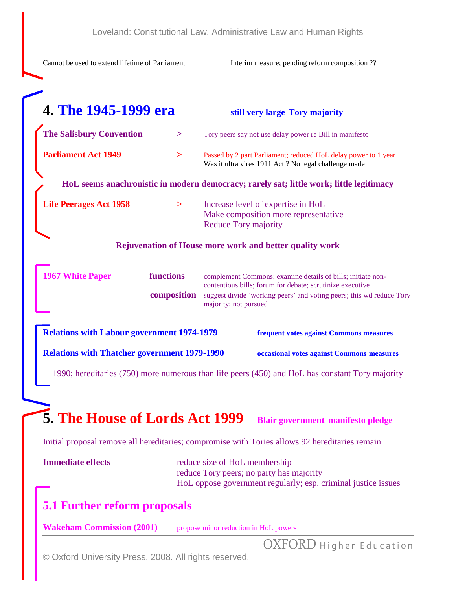Cannot be used to extend lifetime of Parliament Interim measure; pending reform composition ?? **4. The 1945-1999 era still very large Tory majority The Salisbury Convention** > Tory peers say not use delay power re Bill in manifesto **Parliament Act 1949** > Passed by 2 part Parliament; reduced HoL delay power to 1 year Was it ultra vires 1911 Act ? No legal challenge made **HoL seems anachronistic in modern democracy; rarely sat; little work; little legitimacy Life Peerages Act 1958 >** Increase level of expertise in HoL Make composition more representative Reduce Tory majority **Rejuvenation of House more work and better quality work 1967 White Paper functions** complement Commons; examine details of bills; initiate noncontentious bills; forum for debate; scrutinize executive **composition** suggest divide `working peers' and voting peers; this wd reduce Tory majority; not pursued **Relations with Labour government 1974-1979 frequent votes against Commons measures Relations with Thatcher government 1979-1990 occasional votes against Commons measures**

1990; hereditaries (750) more numerous than life peers (450) and HoL has constant Tory majority

# **5. The House of Lords Act 1999 Blair government manifesto pledge**

Initial proposal remove all hereditaries; compromise with Tories allows 92 hereditaries remain

| <b>Immediate effects</b> | reduce size of HoL membership                                 |
|--------------------------|---------------------------------------------------------------|
|                          | reduce Tory peers; no party has majority                      |
|                          | HoL oppose government regularly; esp. criminal justice issues |

### **5.1 Further reform proposals**

**Wakeham Commission (2001)** propose minor reduction in HoL powers

OXFORD Higher Education

© Oxford University Press, 2008. All rights reserved.